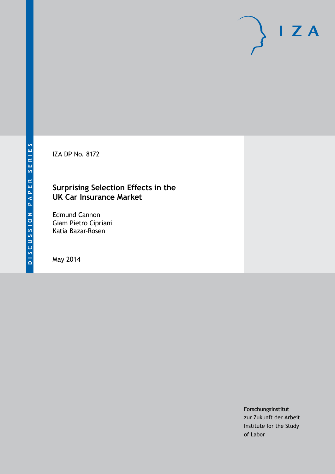IZA DP No. 8172

# **Surprising Selection Effects in the UK Car Insurance Market**

Edmund Cannon Giam Pietro Cipriani Katia Bazar-Rosen

May 2014

Forschungsinstitut zur Zukunft der Arbeit Institute for the Study of Labor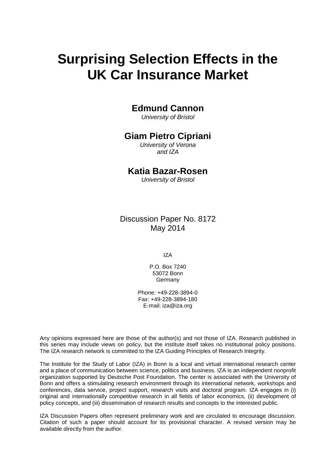# **Surprising Selection Effects in the UK Car Insurance Market**

# **Edmund Cannon**

*University of Bristol*

# **Giam Pietro Cipriani**

*University of Verona and IZA*

## **Katia Bazar-Rosen**

*University of Bristol*

Discussion Paper No. 8172 May 2014

IZA

P.O. Box 7240 53072 Bonn **Germany** 

Phone: +49-228-3894-0 Fax: +49-228-3894-180 E-mail: [iza@iza.org](mailto:iza@iza.org)

Any opinions expressed here are those of the author(s) and not those of IZA. Research published in this series may include views on policy, but the institute itself takes no institutional policy positions. The IZA research network is committed to the IZA Guiding Principles of Research Integrity.

The Institute for the Study of Labor (IZA) in Bonn is a local and virtual international research center and a place of communication between science, politics and business. IZA is an independent nonprofit organization supported by Deutsche Post Foundation. The center is associated with the University of Bonn and offers a stimulating research environment through its international network, workshops and conferences, data service, project support, research visits and doctoral program. IZA engages in (i) original and internationally competitive research in all fields of labor economics, (ii) development of policy concepts, and (iii) dissemination of research results and concepts to the interested public.

<span id="page-1-0"></span>IZA Discussion Papers often represent preliminary work and are circulated to encourage discussion. Citation of such a paper should account for its provisional character. A revised version may be available directly from the author.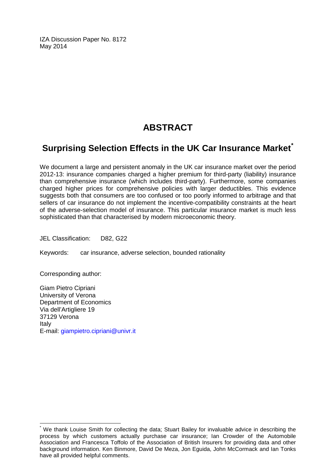IZA Discussion Paper No. 8172 May 2014

# **ABSTRACT**

# **Surprising Selection Effects in the UK Car Insurance Market[\\*](#page-1-0)**

We document a large and persistent anomaly in the UK car insurance market over the period 2012-13: insurance companies charged a higher premium for third-party (liability) insurance than comprehensive insurance (which includes third-party). Furthermore, some companies charged higher prices for comprehensive policies with larger deductibles. This evidence suggests both that consumers are too confused or too poorly informed to arbitrage and that sellers of car insurance do not implement the incentive-compatibility constraints at the heart of the adverse-selection model of insurance. This particular insurance market is much less sophisticated than that characterised by modern microeconomic theory.

JEL Classification: D82, G22

Keywords: car insurance, adverse selection, bounded rationality

Corresponding author:

Giam Pietro Cipriani University of Verona Department of Economics Via dell'Artigliere 19 37129 Verona Italy E-mail: [giampietro.cipriani@univr.it](mailto:giampietro.cipriani@univr.it)

We thank Louise Smith for collecting the data; Stuart Bailey for invaluable advice in describing the process by which customers actually purchase car insurance; Ian Crowder of the Automobile Association and Francesca Toffolo of the Association of British Insurers for providing data and other background information. Ken Binmore, David De Meza, Jon Eguida, John McCormack and Ian Tonks have all provided helpful comments.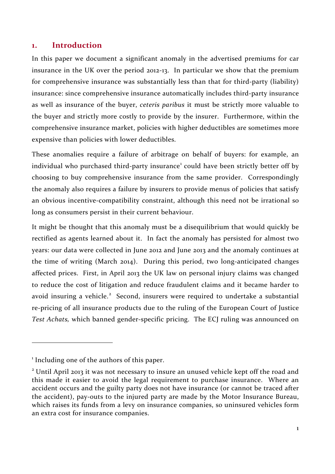### **1. Introduction**

In this paper we document a significant anomaly in the advertised premiums for car insurance in the UK over the period 2012-13. In particular we show that the premium for comprehensive insurance was substantially less than that for third-party (liability) insurance: since comprehensive insurance automatically includes third-party insurance as well as insurance of the buyer, *ceteris paribus* it must be strictly more valuable to the buyer and strictly more costly to provide by the insurer. Furthermore, within the comprehensive insurance market, policies with higher deductibles are sometimes more expensive than policies with lower deductibles.

These anomalies require a failure of arbitrage on behalf of buyers: for example, an individual who purchased third-party insurance<sup>[1](#page-3-0)</sup> could have been strictly better off by choosing to buy comprehensive insurance from the same provider. Correspondingly the anomaly also requires a failure by insurers to provide menus of policies that satisfy an obvious incentive-compatibility constraint, although this need not be irrational so long as consumers persist in their current behaviour.

It might be thought that this anomaly must be a disequilibrium that would quickly be rectified as agents learned about it. In fact the anomaly has persisted for almost two years: our data were collected in June 2012 and June 2013 and the anomaly continues at the time of writing (March 2014). During this period, two long-anticipated changes affected prices. First, in April 2013 the UK law on personal injury claims was changed to reduce the cost of litigation and reduce fraudulent claims and it became harder to avoid insuring a vehicle.<sup>[2](#page-3-1)</sup> Second, insurers were required to undertake a substantial re-pricing of all insurance products due to the ruling of the European Court of Justice *Test Achats,* which banned gender-specific pricing. The ECJ ruling was announced on

<span id="page-3-0"></span><sup>&</sup>lt;sup>1</sup> Including one of the authors of this paper.

<span id="page-3-1"></span><sup>2</sup> Until April 2013 it was not necessary to insure an unused vehicle kept off the road and this made it easier to avoid the legal requirement to purchase insurance. Where an accident occurs and the guilty party does not have insurance (or cannot be traced after the accident), pay-outs to the injured party are made by the Motor Insurance Bureau, which raises its funds from a levy on insurance companies, so uninsured vehicles form an extra cost for insurance companies.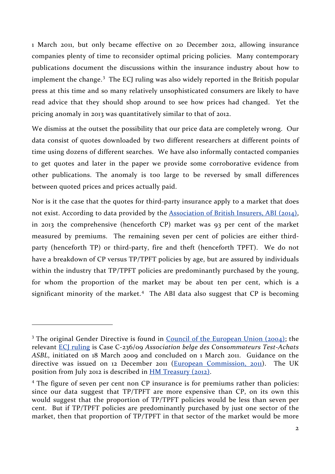1 March 2011, but only became effective on 20 December 2012, allowing insurance companies plenty of time to reconsider optimal pricing policies. Many contemporary publications document the discussions within the insurance industry about how to implement the change. [3](#page-4-0) The ECJ ruling was also widely reported in the British popular press at this time and so many relatively unsophisticated consumers are likely to have read advice that they should shop around to see how prices had changed. Yet the pricing anomaly in 2013 was quantitatively similar to that of 2012.

We dismiss at the outset the possibility that our price data are completely wrong. Our data consist of quotes downloaded by two different researchers at different points of time using dozens of different searches. We have also informally contacted companies to get quotes and later in the paper we provide some corroborative evidence from other publications. The anomaly is too large to be reversed by small differences between quoted prices and prices actually paid.

Nor is it the case that the quotes for third-party insurance apply to a market that does not exist. According to data provided by the [Association of British Insurers, ABI](#page-26-0) (2014), in 2013 the comprehensive (henceforth CP) market was 93 per cent of the market measured by premiums. The remaining seven per cent of policies are either thirdparty (henceforth TP) or third-party, fire and theft (henceforth TPFT). We do not have a breakdown of CP versus TP/TPFT policies by age, but are assured by individuals within the industry that TP/TPFT policies are predominantly purchased by the young, for whom the proportion of the market may be about ten per cent, which is a significant minority of the market.<sup>[4](#page-4-1)</sup> The ABI data also suggest that CP is becoming

<span id="page-4-0"></span><sup>&</sup>lt;sup>3</sup> The original Gender Directive is found in [Council of the European Union \(2004\);](#page-26-1) the relevant [ECJ ruling](#page-27-0) is Case C-236/09 *Association belge des Consommateurs Test-Achats ASBL*, initiated on 18 March 2009 and concluded on 1 March 2011. Guidance on the directive was issued on 12 December 2011 [\(European Commission, 2011\)](#page-27-1). The UK position from July 2012 is described in [HM Treasury \(2012\).](#page-27-2)

<span id="page-4-1"></span><sup>&</sup>lt;sup>4</sup> The figure of seven per cent non CP insurance is for premiums rather than policies: since our data suggest that TP/TPFT are more expensive than CP, on its own this would suggest that the proportion of TP/TPFT policies would be less than seven per cent. But if TP/TPFT policies are predominantly purchased by just one sector of the market, then that proportion of TP/TPFT in that sector of the market would be more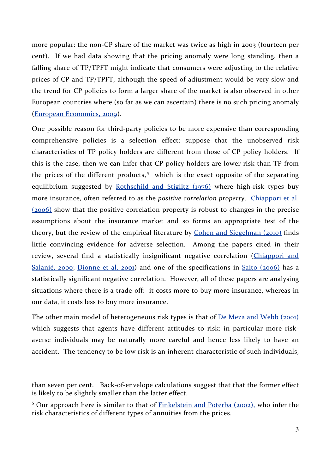more popular: the non-CP share of the market was twice as high in 2003 (fourteen per cent). If we had data showing that the pricing anomaly were long standing, then a falling share of TP/TPFT might indicate that consumers were adjusting to the relative prices of CP and TP/TPFT, although the speed of adjustment would be very slow and the trend for CP policies to form a larger share of the market is also observed in other European countries where (so far as we can ascertain) there is no such pricing anomaly [\(European Economics, 2009\)](#page-27-3).

One possible reason for third-party policies to be more expensive than corresponding comprehensive policies is a selection effect: suppose that the unobserved risk characteristics of TP policy holders are different from those of CP policy holders. If this is the case, then we can infer that CP policy holders are lower risk than TP from the prices of the different products, [5](#page-5-0) which is the exact opposite of the separating equilibrium suggested by [Rothschild and Stiglitz \(1976\)](#page-28-0) where high-risk types buy more insurance, often referred to as the *positive correlation property*. [Chiappori](#page-26-2) et al. [\(2006\)](#page-26-2) show that the positive correlation property is robust to changes in the precise assumptions about the insurance market and so forms an appropriate test of the theory, but the review of the empirical literature by [Cohen and Siegelman \(2010\)](#page-26-3) finds little convincing evidence for adverse selection. Among the papers cited in their review, several find a statistically insignificant negative correlation [\(Chiappori and](#page-26-4)  [Salanié, 2000;](#page-26-4) [Dionne](#page-26-5) et al. 2001) and one of the specifications in [Saito \(2006\)](#page-28-1) has a statistically significant negative correlation. However, all of these papers are analysing situations where there is a trade-off: it costs more to buy more insurance, whereas in our data, it costs less to buy more insurance.

The other main model of heterogeneous risk types is that of [De Meza and Webb \(2001\)](#page-26-6) which suggests that agents have different attitudes to risk: in particular more riskaverse individuals may be naturally more careful and hence less likely to have an accident. The tendency to be low risk is an inherent characteristic of such individuals,

than seven per cent. Back-of-envelope calculations suggest that that the former effect is likely to be slightly smaller than the latter effect.

<span id="page-5-0"></span><sup>&</sup>lt;sup>5</sup> Our approach here is similar to that of **Finkelstein** and Poterba (2002), who infer the risk characteristics of different types of annuities from the prices.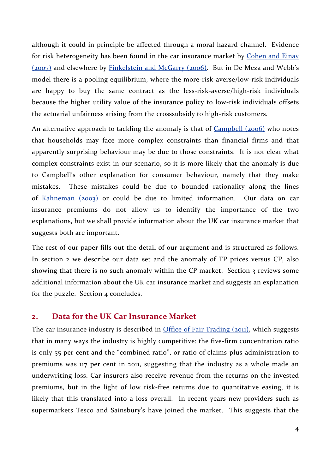although it could in principle be affected through a moral hazard channel. Evidence for risk heterogeneity has been found in the car insurance market by Cohen and Einav [\(2007\)](#page-26-7) and elsewhere by [Finkelstein and McGarry \(2006\).](#page-27-5) But in De Meza and Webb's model there is a pooling equilibrium, where the more-risk-averse/low-risk individuals are happy to buy the same contract as the less-risk-averse/high-risk individuals because the higher utility value of the insurance policy to low-risk individuals offsets the actuarial unfairness arising from the crosssubsidy to high-risk customers.

An alternative approach to tackling the anomaly is that of [Campbell \(2006\)](#page-26-8) who notes that households may face more complex constraints than financial firms and that apparently surprising behaviour may be due to those constraints. It is not clear what complex constraints exist in our scenario, so it is more likely that the anomaly is due to Campbell's other explanation for consumer behaviour, namely that they make mistakes. These mistakes could be due to bounded rationality along the lines of [Kahneman \(2003\)](#page-27-6) or could be due to limited information. Our data on car insurance premiums do not allow us to identify the importance of the two explanations, but we shall provide information about the UK car insurance market that suggests both are important.

The rest of our paper fills out the detail of our argument and is structured as follows. In section 2 we describe our data set and the anomaly of TP prices versus CP, also showing that there is no such anomaly within the CP market. Section 3 reviews some additional information about the UK car insurance market and suggests an explanation for the puzzle. Section 4 concludes.

#### **2. Data for the UK Car Insurance Market**

The car insurance industry is described in [Office of Fair Trading \(2011\),](#page-27-7) which suggests that in many ways the industry is highly competitive: the five-firm concentration ratio is only 55 per cent and the "combined ratio", or ratio of claims-plus-administration to premiums was 117 per cent in 2011, suggesting that the industry as a whole made an underwriting loss. Car insurers also receive revenue from the returns on the invested premiums, but in the light of low risk-free returns due to quantitative easing, it is likely that this translated into a loss overall. In recent years new providers such as supermarkets Tesco and Sainsbury's have joined the market. This suggests that the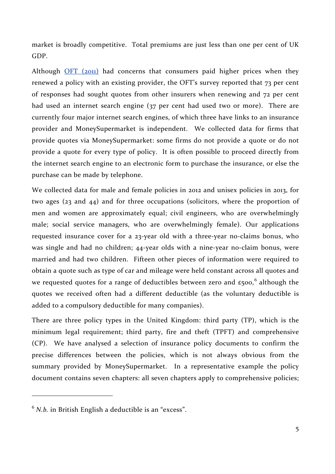market is broadly competitive. Total premiums are just less than one per cent of UK GDP.

Although  $\overline{\text{OFT}}$  (2011) had concerns that consumers paid higher prices when they renewed a policy with an existing provider, the OFT's survey reported that 73 per cent of responses had sought quotes from other insurers when renewing and 72 per cent had used an internet search engine (37 per cent had used two or more). There are currently four major internet search engines, of which three have links to an insurance provider and MoneySupermarket is independent. We collected data for firms that provide quotes via MoneySupermarket: some firms do not provide a quote or do not provide a quote for every type of policy. It is often possible to proceed directly from the internet search engine to an electronic form to purchase the insurance, or else the purchase can be made by telephone.

We collected data for male and female policies in 2012 and unisex policies in 2013, for two ages (23 and 44) and for three occupations (solicitors, where the proportion of men and women are approximately equal; civil engineers, who are overwhelmingly male; social service managers, who are overwhelmingly female). Our applications requested insurance cover for a 23-year old with a three-year no-claims bonus, who was single and had no children; 44-year olds with a nine-year no-claim bonus, were married and had two children. Fifteen other pieces of information were required to obtain a quote such as type of car and mileage were held constant across all quotes and we requested quotes for a range of deductibles between zero and  $\epsilon$ 500,<sup>[6](#page-7-0)</sup> although the quotes we received often had a different deductible (as the voluntary deductible is added to a compulsory deductible for many companies).

There are three policy types in the United Kingdom: third party (TP), which is the minimum legal requirement; third party, fire and theft (TPFT) and comprehensive (CP). We have analysed a selection of insurance policy documents to confirm the precise differences between the policies, which is not always obvious from the summary provided by MoneySupermarket. In a representative example the policy document contains seven chapters: all seven chapters apply to comprehensive policies;

<u>.</u>

<span id="page-7-0"></span><sup>&</sup>lt;sup>6</sup> *N.b.* in British English a deductible is an "excess".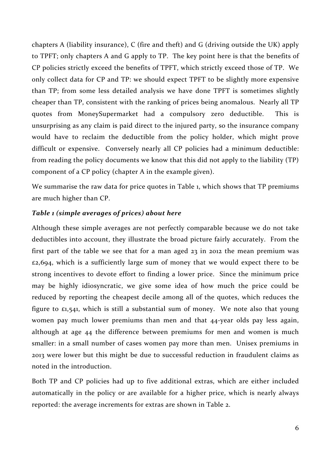chapters A (liability insurance), C (fire and theft) and G (driving outside the UK) apply to TPFT; only chapters A and G apply to TP. The key point here is that the benefits of CP policies strictly exceed the benefits of TPFT, which strictly exceed those of TP. We only collect data for CP and TP: we should expect TPFT to be slightly more expensive than TP; from some less detailed analysis we have done TPFT is sometimes slightly cheaper than TP, consistent with the ranking of prices being anomalous. Nearly all TP quotes from MoneySupermarket had a compulsory zero deductible. This is unsurprising as any claim is paid direct to the injured party, so the insurance company would have to reclaim the deductible from the policy holder, which might prove difficult or expensive. Conversely nearly all CP policies had a minimum deductible: from reading the policy documents we know that this did not apply to the liability (TP) component of a CP policy (chapter A in the example given).

We summarise the raw data for price quotes in Table 1, which shows that TP premiums are much higher than CP.

#### *Table 1 (simple averages of prices) about here*

Although these simple averages are not perfectly comparable because we do not take deductibles into account, they illustrate the broad picture fairly accurately. From the first part of the table we see that for a man aged 23 in 2012 the mean premium was £2,694, which is a sufficiently large sum of money that we would expect there to be strong incentives to devote effort to finding a lower price. Since the minimum price may be highly idiosyncratic, we give some idea of how much the price could be reduced by reporting the cheapest decile among all of the quotes, which reduces the figure to  $\epsilon_1$ ,  $\epsilon_2$ <sub>1</sub>, which is still a substantial sum of money. We note also that young women pay much lower premiums than men and that 44-year olds pay less again, although at age 44 the difference between premiums for men and women is much smaller: in a small number of cases women pay more than men. Unisex premiums in 2013 were lower but this might be due to successful reduction in fraudulent claims as noted in the introduction.

Both TP and CP policies had up to five additional extras, which are either included automatically in the policy or are available for a higher price, which is nearly always reported: the average increments for extras are shown in Table 2.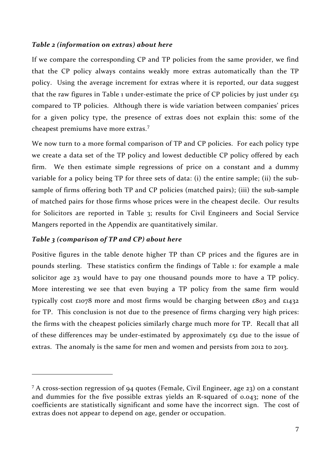#### *Table 2 (information on extras) about here*

If we compare the corresponding CP and TP policies from the same provider, we find that the CP policy always contains weakly more extras automatically than the TP policy. Using the average increment for extras where it is reported, our data suggest that the raw figures in Table 1 under-estimate the price of CP policies by just under  $\epsilon_{51}$ compared to TP policies. Although there is wide variation between companies' prices for a given policy type, the presence of extras does not explain this: some of the cheapest premiums have more extras.[7](#page-9-0)

We now turn to a more formal comparison of TP and CP policies. For each policy type we create a data set of the TP policy and lowest deductible CP policy offered by each firm. We then estimate simple regressions of price on a constant and a dummy variable for a policy being TP for three sets of data: (i) the entire sample; (ii) the subsample of firms offering both TP and CP policies (matched pairs); (iii) the sub-sample of matched pairs for those firms whose prices were in the cheapest decile. Our results for Solicitors are reported in Table 3; results for Civil Engineers and Social Service Mangers reported in the Appendix are quantitatively similar.

### *Table 3 (comparison of TP and CP) about here*

1

Positive figures in the table denote higher TP than CP prices and the figures are in pounds sterling. These statistics confirm the findings of Table 1: for example a male solicitor age 23 would have to pay one thousand pounds more to have a TP policy. More interesting we see that even buying a TP policy from the same firm would typically cost £1078 more and most firms would be charging between £803 and £1432 for TP. This conclusion is not due to the presence of firms charging very high prices: the firms with the cheapest policies similarly charge much more for TP. Recall that all of these differences may be under-estimated by approximately  $\epsilon$ 51 due to the issue of extras. The anomaly is the same for men and women and persists from 2012 to 2013.

<span id="page-9-0"></span> $7$  A cross-section regression of 94 quotes (Female, Civil Engineer, age 23) on a constant and dummies for the five possible extras yields an R-squared of 0.043; none of the coefficients are statistically significant and some have the incorrect sign. The cost of extras does not appear to depend on age, gender or occupation.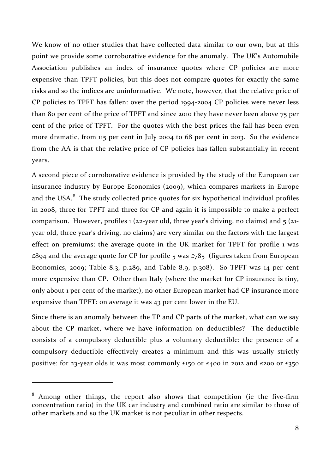We know of no other studies that have collected data similar to our own, but at this point we provide some corroborative evidence for the anomaly. The UK's Automobile Association publishes an index of insurance quotes where CP policies are more expensive than TPFT policies, but this does not compare quotes for exactly the same risks and so the indices are uninformative. We note, however, that the relative price of CP policies to TPFT has fallen: over the period 1994-2004 CP policies were never less than 80 per cent of the price of TPFT and since 2010 they have never been above 75 per cent of the price of TPFT. For the quotes with the best prices the fall has been even more dramatic, from 115 per cent in July 2004 to 68 per cent in 2013. So the evidence from the AA is that the relative price of CP policies has fallen substantially in recent years.

A second piece of corroborative evidence is provided by the study of the European car insurance industry by Europe Economics (2009), which compares markets in Europe and the USA.<sup>[8](#page-10-0)</sup> The study collected price quotes for six hypothetical individual profiles in 2008, three for TPFT and three for CP and again it is impossible to make a perfect comparison. However, profiles 1 (22-year old, three year's driving, no claims) and  $5$  (21year old, three year's driving, no claims) are very similar on the factors with the largest effect on premiums: the average quote in the UK market for TPFT for profile 1 was  $\pounds894$  and the average quote for CP for profile 5 was  $\pounds785$  (figures taken from European Economics, 2009; Table 8.3, p.289, and Table 8.9, p.308). So TPFT was 14 per cent more expensive than CP. Other than Italy (where the market for CP insurance is tiny, only about 1 per cent of the market), no other European market had CP insurance more expensive than TPFT: on average it was 43 per cent lower in the EU.

Since there is an anomaly between the TP and CP parts of the market, what can we say about the CP market, where we have information on deductibles? The deductible consists of a compulsory deductible plus a voluntary deductible: the presence of a compulsory deductible effectively creates a minimum and this was usually strictly positive: for 23-year olds it was most commonly £150 or £400 in 2012 and £200 or £350

<span id="page-10-0"></span><sup>&</sup>lt;sup>8</sup> Among other things, the report also shows that competition (ie the five-firm concentration ratio) in the UK car industry and combined ratio are similar to those of other markets and so the UK market is not peculiar in other respects.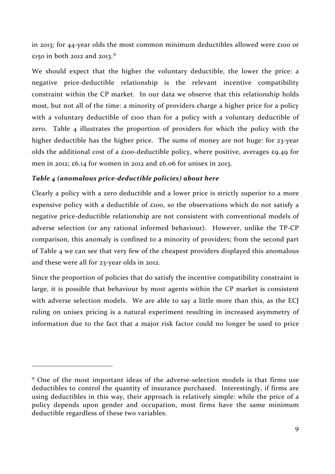in 2013; for 44-year olds the most common minimum deductibles allowed were £100 or £150 in both 2012 and 2013. $9$ 

We should expect that the higher the voluntary deductible, the lower the price: a negative price-deductible relationship is the relevant incentive compatibility constraint within the CP market. In our data we observe that this relationship holds most, but not all of the time: a minority of providers charge a higher price for a policy with a voluntary deductible of  $\epsilon$ 100 than for a policy with a voluntary deductible of zero. Table 4 illustrates the proportion of providers for which the policy with the higher deductible has the higher price. The sums of money are not huge: for 23-year olds the additional cost of a £100-deductible policy, where positive, averages £9.49 for men in 2012; £6.14 for women in 2012 and £6.06 for unisex in 2013.

### *Table 4 (anomalous price-deductible policies) about here*

1

Clearly a policy with a zero deductible and a lower price is strictly superior to a more expensive policy with a deductible of £100, so the observations which do not satisfy a negative price-deductible relationship are not consistent with conventional models of adverse selection (or any rational informed behaviour). However, unlike the TP-CP comparison, this anomaly is confined to a minority of providers; from the second part of Table 4 we can see that very few of the cheapest providers displayed this anomalous and these were all for 23-year olds in 2012.

Since the proportion of policies that do satisfy the incentive compatibility constraint is large, it is possible that behaviour by most agents within the CP market is consistent with adverse selection models. We are able to say a little more than this, as the ECJ ruling on unisex pricing is a natural experiment resulting in increased asymmetry of information due to the fact that a major risk factor could no longer be used to price

<span id="page-11-0"></span><sup>&</sup>lt;sup>9</sup> One of the most important ideas of the adverse-selection models is that firms use deductibles to control the quantity of insurance purchased. Interestingly, if firms are using deductibles in this way, their approach is relatively simple: while the price of a policy depends upon gender and occupation, most firms have the same minimum deductible regardless of these two variables.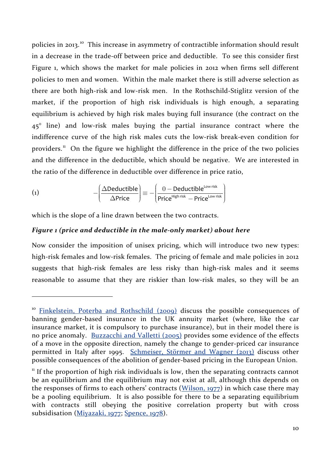policies in 2013.<sup>[10](#page-12-0)</sup> This increase in asymmetry of contractible information should result in a decrease in the trade-off between price and deductible. To see this consider first Figure 1, which shows the market for male policies in 2012 when firms sell different policies to men and women. Within the male market there is still adverse selection as there are both high-risk and low-risk men. In the Rothschild-Stiglitz version of the market, if the proportion of high risk individuals is high enough, a separating equilibrium is achieved by high risk males buying full insurance (the contract on the 45° line) and low-risk males buying the partial insurance contract where the indifference curve of the high risk males cuts the low-risk break-even condition for providers.<sup>[11](#page-12-1)</sup> On the figure we highlight the difference in the price of the two policies and the difference in the deductible, which should be negative. We are interested in the ratio of the difference in deductible over difference in price ratio,

$$
(1) \qquad \qquad -\left(\frac{\Delta \text{Deductible}}{\Delta \text{Price}}\right) \equiv -\left(\frac{0-\text{Deductible}^{\text{Low risk}}}{\text{Price}^{\text{High risk}} - \text{Price}^{\text{Low risk}}}\right)
$$

which is the slope of a line drawn between the two contracts.

1

#### *Figure 1 (price and deductible in the male-only market) about here*

Now consider the imposition of unisex pricing, which will introduce two new types: high-risk females and low-risk females. The pricing of female and male policies in 2012 suggests that high-risk females are less risky than high-risk males and it seems reasonable to assume that they are riskier than low-risk males, so they will be an

<span id="page-12-0"></span><sup>&</sup>lt;sup>10</sup> [Finkelstein, Poterba and Rothschild \(2009\)](#page-27-8) discuss the possible consequences of banning gender-based insurance in the UK annuity market (where, like the car insurance market, it is compulsory to purchase insurance), but in their model there is no price anomaly. [Buzzacchi and Valletti \(2005\)](#page-26-9) provides some evidence of the effects of a move in the opposite direction, namely the change to gender-priced car insurance permitted in Italy after 1995. [Schmeiser, Störmer and Wagner \(2013\)](#page-28-2) discuss other possible consequences of the abolition of gender-based pricing in the European Union.

<span id="page-12-1"></span> $\textsuperscript{11}$  If the proportion of high risk individuals is low, then the separating contracts cannot be an equilibrium and the equilibrium may not exist at all, although this depends on the responses of firms to each others' contracts [\(Wilson, 1977\)](#page-28-3) in which case there may be a pooling equilibrium. It is also possible for there to be a separating equilibrium with contracts still obeying the positive correlation property but with cross subsidisation [\(Miyazaki, 1977;](#page-27-9) [Spence, 1978\)](#page-28-4).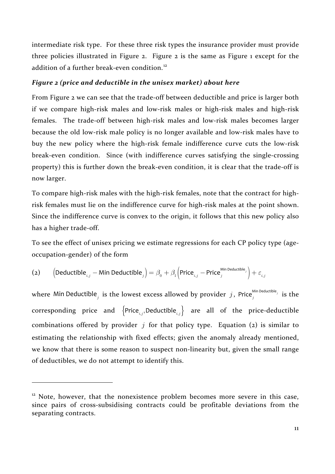intermediate risk type. For these three risk types the insurance provider must provide three policies illustrated in Figure 2. Figure 2 is the same as Figure 1 except for the addition of a further break-even condition.<sup>[12](#page-13-0)</sup>

#### *Figure 2 (price and deductible in the unisex market) about here*

From Figure 2 we can see that the trade-off between deductible and price is larger both if we compare high-risk males and low-risk males or high-risk males and high-risk females. The trade-off between high-risk males and low-risk males becomes larger because the old low-risk male policy is no longer available and low-risk males have to buy the new policy where the high-risk female indifference curve cuts the low-risk break-even condition. Since (with indifference curves satisfying the single-crossing property) this is further down the break-even condition, it is clear that the trade-off is now larger.

To compare high-risk males with the high-risk females, note that the contract for highrisk females must lie on the indifference curve for high-risk males at the point shown. Since the indifference curve is convex to the origin, it follows that this new policy also has a higher trade-off.

To see the effect of unisex pricing we estimate regressions for each CP policy type (ageoccupation-gender) of the form

$$
\textbf{(2)} \qquad \left( \text{Deductible}_{i,j} - \text{Min Deductible}_{j} \right) = \beta_0 + \beta_1 \left( \text{Price}_{i,j} - \text{Price}_{j}^{\text{Min Deductible}_{j}} \right) + \varepsilon_{i,j}
$$

where Min Deductible<sub>j</sub> is the lowest excess allowed by provider  $j$ , Price $_j^{\text{Min Deductible}_j}$  is the corresponding price and  $\{Price_{i,j}, Deductible_{i,j}\}$  are all of the price-deductible combinations offered by provider  $j$  for that policy type. Equation (2) is similar to estimating the relationship with fixed effects; given the anomaly already mentioned, we know that there is some reason to suspect non-linearity but, given the small range of deductibles, we do not attempt to identify this.

<span id="page-13-0"></span> $12$  Note, however, that the nonexistence problem becomes more severe in this case, since pairs of cross-subsidising contracts could be profitable deviations from the separating contracts.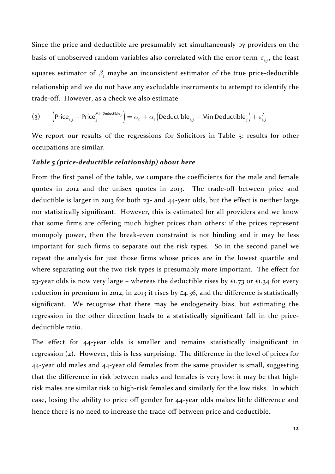Since the price and deductible are presumably set simultaneously by providers on the basis of unobserved random variables also correlated with the error term  $\varepsilon_{i,j}$ , the least squares estimator of  $\beta_1$  maybe an inconsistent estimator of the true price-deductible relationship and we do not have any excludable instruments to attempt to identify the trade-off. However, as a check we also estimate

$$
\text{(3)} \qquad \left(\text{Price}_{i,j} - \text{Price}_{j}^{\text{Min Deductible}_{j}}\right) = \alpha_{0} + \alpha_{1}\left(\text{Deductible}_{i,j} - \text{Min Deductible}_{j}\right) + \varepsilon'_{i,j}
$$

We report our results of the regressions for Solicitors in Table 5: results for other occupations are similar.

#### *Table 5 (price-deductible relationship) about here*

From the first panel of the table, we compare the coefficients for the male and female quotes in 2012 and the unisex quotes in 2013. The trade-off between price and deductible is larger in 2013 for both 23- and 44-year olds, but the effect is neither large nor statistically significant. However, this is estimated for all providers and we know that some firms are offering much higher prices than others: if the prices represent monopoly power, then the break-even constraint is not binding and it may be less important for such firms to separate out the risk types. So in the second panel we repeat the analysis for just those firms whose prices are in the lowest quartile and where separating out the two risk types is presumably more important. The effect for 23-year olds is now very large – whereas the deductible rises by  $\epsilon_{1.73}$  or  $\epsilon_{1.34}$  for every reduction in premium in 2012, in 2013 it rises by £4.36, and the difference is statistically significant. We recognise that there may be endogeneity bias, but estimating the regression in the other direction leads to a statistically significant fall in the pricedeductible ratio.

The effect for 44-year olds is smaller and remains statistically insignificant in regression (2). However, this is less surprising. The difference in the level of prices for 44-year old males and 44-year old females from the same provider is small, suggesting that the difference in risk between males and females is very low: it may be that highrisk males are similar risk to high-risk females and similarly for the low risks. In which case, losing the ability to price off gender for 44-year olds makes little difference and hence there is no need to increase the trade-off between price and deductible.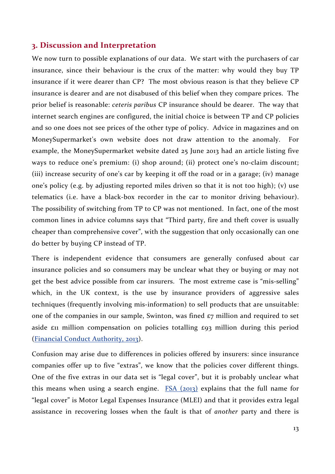### **3. Discussion and Interpretation**

We now turn to possible explanations of our data. We start with the purchasers of car insurance, since their behaviour is the crux of the matter: why would they buy TP insurance if it were dearer than CP? The most obvious reason is that they believe CP insurance is dearer and are not disabused of this belief when they compare prices. The prior belief is reasonable: *ceteris paribus* CP insurance should be dearer. The way that internet search engines are configured, the initial choice is between TP and CP policies and so one does not see prices of the other type of policy. Advice in magazines and on MoneySupermarket's own website does not draw attention to the anomaly. For example, the MoneySupermarket website dated 25 June 2013 had an article listing five ways to reduce one's premium: (i) shop around; (ii) protect one's no-claim discount; (iii) increase security of one's car by keeping it off the road or in a garage; (iv) manage one's policy (e.g. by adjusting reported miles driven so that it is not too high); (v) use telematics (i.e. have a black-box recorder in the car to monitor driving behaviour). The possibility of switching from TP to CP was not mentioned. In fact, one of the most common lines in advice columns says that "Third party, fire and theft cover is usually cheaper than comprehensive cover", with the suggestion that only occasionally can one do better by buying CP instead of TP.

There is independent evidence that consumers are generally confused about car insurance policies and so consumers may be unclear what they or buying or may not get the best advice possible from car insurers. The most extreme case is "mis-selling" which, in the UK context, is the use by insurance providers of aggressive sales techniques (frequently involving mis-information) to sell products that are unsuitable: one of the companies in our sample, Swinton, was fined  $\epsilon$ 7 million and required to set aside £11 million compensation on policies totalling £93 million during this period [\(Financial Conduct Authority, 2013\)](#page-27-10).

Confusion may arise due to differences in policies offered by insurers: since insurance companies offer up to five "extras", we know that the policies cover different things. One of the five extras in our data set is "legal cover", but it is probably unclear what this means when using a search engine.  $FSA$  (2013) explains that the full name for "legal cover" is Motor Legal Expenses Insurance (MLEI) and that it provides extra legal assistance in recovering losses when the fault is that of *another* party and there is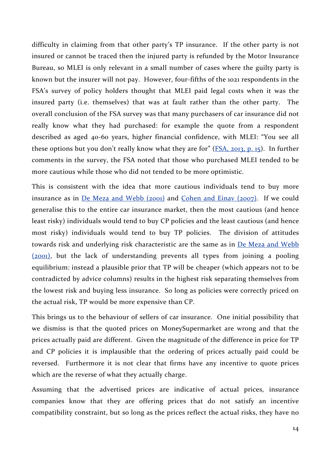difficulty in claiming from that other party's TP insurance. If the other party is not insured or cannot be traced then the injured party is refunded by the Motor Insurance Bureau, so MLEI is only relevant in a small number of cases where the guilty party is known but the insurer will not pay. However, four-fifths of the 1021 respondents in the FSA's survey of policy holders thought that MLEI paid legal costs when it was the insured party (i.e. themselves) that was at fault rather than the other party. The overall conclusion of the FSA survey was that many purchasers of car insurance did not really know what they had purchased: for example the quote from a respondent described as aged 40-60 years, higher financial confidence, with MLEI: "You see all these options but you don't really know what they are for" ( $\overline{FSA}$ , 2013, p. 15). In further comments in the survey, the FSA noted that those who purchased MLEI tended to be more cautious while those who did not tended to be more optimistic.

This is consistent with the idea that more cautious individuals tend to buy more insurance as in <u>De Meza and Webb (2001)</u> and [Cohen and Einav](#page-26-7) (2007). If we could generalise this to the entire car insurance market, then the most cautious (and hence least risky) individuals would tend to buy CP policies and the least cautious (and hence most risky) individuals would tend to buy TP policies. The division of attitudes towards risk and underlying risk characteristic are the same as in De Meza and Webb [\(2001\),](#page-26-6) but the lack of understanding prevents all types from joining a pooling equilibrium: instead a plausible prior that TP will be cheaper (which appears not to be contradicted by advice columns) results in the highest risk separating themselves from the lowest risk and buying less insurance. So long as policies were correctly priced on the actual risk, TP would be more expensive than CP.

This brings us to the behaviour of sellers of car insurance. One initial possibility that we dismiss is that the quoted prices on MoneySupermarket are wrong and that the prices actually paid are different. Given the magnitude of the difference in price for TP and CP policies it is implausible that the ordering of prices actually paid could be reversed. Furthermore it is not clear that firms have any incentive to quote prices which are the reverse of what they actually charge.

Assuming that the advertised prices are indicative of actual prices, insurance companies know that they are offering prices that do not satisfy an incentive compatibility constraint, but so long as the prices reflect the actual risks, they have no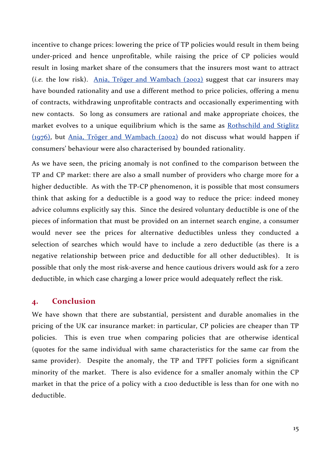incentive to change prices: lowering the price of TP policies would result in them being under-priced and hence unprofitable, while raising the price of CP policies would result in losing market share of the consumers that the insurers most want to attract (*i.e.* the low risk). [Ania, Tröger and Wambach \(2002\)](#page-26-10) suggest that car insurers may have bounded rationality and use a different method to price policies, offering a menu of contracts, withdrawing unprofitable contracts and occasionally experimenting with new contacts. So long as consumers are rational and make appropriate choices, the market evolves to a unique equilibrium which is the same as Rothschild and Stiglitz [\(1976\),](#page-28-0) but [Ania, Tröger and Wambach \(2002\)](#page-26-10) do not discuss what would happen if consumers' behaviour were also characterised by bounded rationality.

As we have seen, the pricing anomaly is not confined to the comparison between the TP and CP market: there are also a small number of providers who charge more for a higher deductible. As with the TP-CP phenomenon, it is possible that most consumers think that asking for a deductible is a good way to reduce the price: indeed money advice columns explicitly say this. Since the desired voluntary deductible is one of the pieces of information that must be provided on an internet search engine, a consumer would never see the prices for alternative deductibles unless they conducted a selection of searches which would have to include a zero deductible (as there is a negative relationship between price and deductible for all other deductibles). It is possible that only the most risk-averse and hence cautious drivers would ask for a zero deductible, in which case charging a lower price would adequately reflect the risk.

### **4. Conclusion**

We have shown that there are substantial, persistent and durable anomalies in the pricing of the UK car insurance market: in particular, CP policies are cheaper than TP policies. This is even true when comparing policies that are otherwise identical (quotes for the same individual with same characteristics for the same car from the same provider). Despite the anomaly, the TP and TPFT policies form a significant minority of the market. There is also evidence for a smaller anomaly within the CP market in that the price of a policy with a £100 deductible is less than for one with no deductible.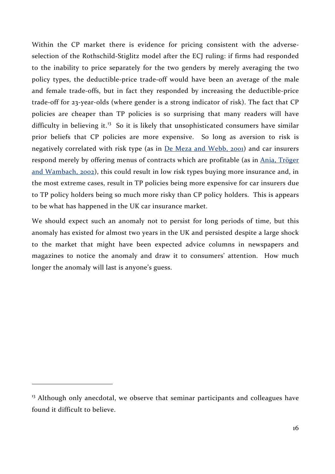Within the CP market there is evidence for pricing consistent with the adverseselection of the Rothschild-Stiglitz model after the ECJ ruling: if firms had responded to the inability to price separately for the two genders by merely averaging the two policy types, the deductible-price trade-off would have been an average of the male and female trade-offs, but in fact they responded by increasing the deductible-price trade-off for 23-year-olds (where gender is a strong indicator of risk). The fact that CP policies are cheaper than TP policies is so surprising that many readers will have difficulty in believing it.<sup>13</sup> So it is likely that unsophisticated consumers have similar prior beliefs that CP policies are more expensive. So long as aversion to risk is negatively correlated with risk type (as in [De Meza and Webb, 2001\)](#page-26-6) and car insurers respond merely by offering menus of contracts which are profitable (as in [Ania, Tröger](#page-26-10) [and Wambach, 2002\)](#page-26-10), this could result in low risk types buying more insurance and, in the most extreme cases, result in TP policies being more expensive for car insurers due to TP policy holders being so much more risky than CP policy holders. This is appears to be what has happened in the UK car insurance market.

We should expect such an anomaly not to persist for long periods of time, but this anomaly has existed for almost two years in the UK and persisted despite a large shock to the market that might have been expected advice columns in newspapers and magazines to notice the anomaly and draw it to consumers' attention. How much longer the anomaly will last is anyone's guess.

<span id="page-18-0"></span><sup>&</sup>lt;sup>13</sup> Although only anecdotal, we observe that seminar participants and colleagues have found it difficult to believe.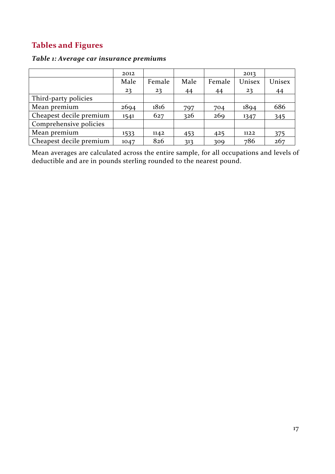# **Tables and Figures**

### *Table 1: Average car insurance premiums*

|                         | 2012 |        |      |        | 2013   |        |
|-------------------------|------|--------|------|--------|--------|--------|
|                         | Male | Female | Male | Female | Unisex | Unisex |
|                         | 23   | 23     | 44   | 44     | 23     | 44     |
| Third-party policies    |      |        |      |        |        |        |
| Mean premium            | 2694 | 1816   | 797  | 704    | 1894   | 686    |
| Cheapest decile premium | 1541 | 627    | 326  | 269    | 1347   | 345    |
| Comprehensive policies  |      |        |      |        |        |        |
| Mean premium            | 1533 | 1142   | 453  | 425    | 1122   | 375    |
| Cheapest decile premium | 1047 | 826    | 313  | 309    | 786    | 267    |

Mean averages are calculated across the entire sample, for all occupations and levels of deductible and are in pounds sterling rounded to the nearest pound.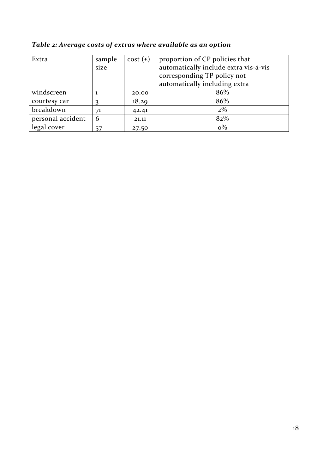| Extra             | sample | $cost(\epsilon)$ | proportion of CP policies that        |
|-------------------|--------|------------------|---------------------------------------|
|                   | size   |                  | automatically include extra vis-á-vis |
|                   |        |                  | corresponding TP policy not           |
|                   |        |                  | automatically including extra         |
| windscreen        |        | 20.00            | 86%                                   |
| courtesy car      |        | 18.29            | 86%                                   |
| breakdown         | 71     | 42.41            | $2\%$                                 |
| personal accident | 6      | 21.11            | 82%                                   |
| legal cover       |        | 27.50            | $0\%$                                 |

# *Table 2: Average costs of extras where available as an option*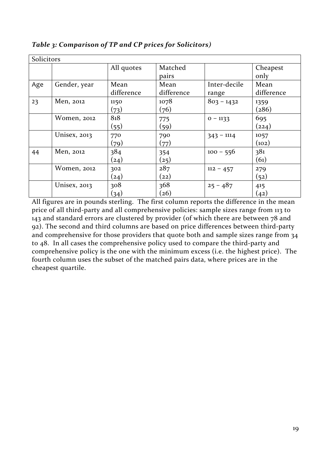| Solicitors |              |            |                    |              |                    |
|------------|--------------|------------|--------------------|--------------|--------------------|
|            |              | All quotes | Matched            |              | Cheapest           |
|            |              |            | pairs              |              | only               |
| Age        | Gender, year | Mean       | Mean               | Inter-decile | Mean               |
|            |              | difference | difference         | range        | difference         |
| 23         | Men, 2012    | 1150       | 1078               | $803 - 1432$ | 1359               |
|            |              | (73)       | (76)               |              | (286)              |
|            | Women, 2012  | 818        | 775                | $0 - 1133$   | 695                |
|            |              | (55)       | (59)               |              | (224)              |
|            | Unisex, 2013 | 770        | 790                | $343 - 1114$ | 1057               |
|            |              | (79)       | (77)               |              | (102)              |
| 44         | Men, 2012    | 384        | 354                | $100 - 556$  | 381                |
|            |              | (24)       | (25)               |              | $(6_1)$            |
|            | Women, 2012  | 302        | 287                | $112 - 457$  | 279                |
|            |              | (24)       | (22)               |              | $\left( 52\right)$ |
|            | Unisex, 2013 | 308        | 368                | $25 - 487$   | 415                |
|            |              | (34)       | $\left( 26\right)$ |              | $\left( 42\right)$ |

*Table 3: Comparison of TP and CP prices for Solicitors)*

All figures are in pounds sterling. The first column reports the difference in the mean price of all third-party and all comprehensive policies: sample sizes range from 113 to 143 and standard errors are clustered by provider (of which there are between 78 and 92). The second and third columns are based on price differences between third-party and comprehensive for those providers that quote both and sample sizes range from 34 to 48. In all cases the comprehensive policy used to compare the third-party and comprehensive policy is the one with the minimum excess (i.e. the highest price). The fourth column uses the subset of the matched pairs data, where prices are in the cheapest quartile.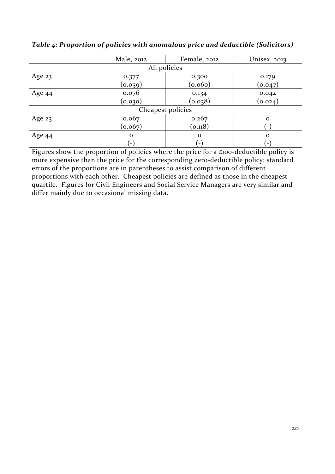|                   | Male, 2012   | Female, 2012             | Unisex, 2013 |  |  |  |  |
|-------------------|--------------|--------------------------|--------------|--|--|--|--|
|                   | All policies |                          |              |  |  |  |  |
| Age 23            | 0.377        | 0.300                    | 0.179        |  |  |  |  |
|                   | (0.059)      | (0.060)                  | (0.047)      |  |  |  |  |
| Age 44            | 0.076        | 0.134                    | 0.042        |  |  |  |  |
|                   | (0.030)      | (0.038)                  | (0.024)      |  |  |  |  |
| Cheapest policies |              |                          |              |  |  |  |  |
| Age 23            | 0.067        | 0.267                    | $\Omega$     |  |  |  |  |
|                   | (0.067)      | (0.118)                  | Ξ.           |  |  |  |  |
| Age 44            | $\mathbf{o}$ | $\mathbf 0$              | $\mathbf 0$  |  |  |  |  |
|                   |              | $\overline{\phantom{a}}$ |              |  |  |  |  |

*Table 4: Proportion of policies with anomalous price and deductible (Solicitors)*

Figures show the proportion of policies where the price for a £100-deductible policy is more expensive than the price for the corresponding zero-deductible policy; standard errors of the proportions are in parentheses to assist comparison of different proportions with each other. Cheapest policies are defined as those in the cheapest quartile. Figures for Civil Engineers and Social Service Managers are very similar and differ mainly due to occasional missing data.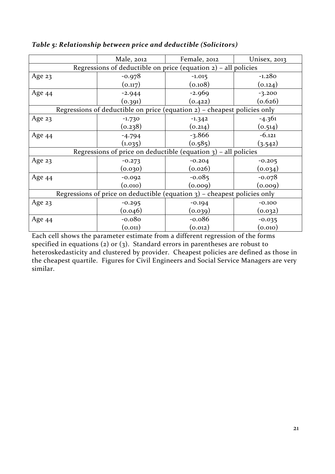|                                                                   | Male, 2012   | Female, 2012                                                                | Unisex, 2013 |  |  |  |
|-------------------------------------------------------------------|--------------|-----------------------------------------------------------------------------|--------------|--|--|--|
| Regressions of deductible on price (equation $2$ ) – all policies |              |                                                                             |              |  |  |  |
| Age $23$                                                          | $-0.978$     | $-1.015$                                                                    | $-1.280$     |  |  |  |
|                                                                   | $_{(0.117)}$ | (0.108)                                                                     | (0.124)      |  |  |  |
| Age 44                                                            | $-2.944$     | $-2.969$                                                                    | $-3.200$     |  |  |  |
|                                                                   | (0.391)      | (0.422)                                                                     | (0.626)      |  |  |  |
|                                                                   |              | Regressions of deductible on price (equation 2) - cheapest policies only    |              |  |  |  |
| Age $23$                                                          | $-1.730$     | $-1.342$                                                                    | $-4.361$     |  |  |  |
|                                                                   | (0.238)      | (0.214)                                                                     | (0.514)      |  |  |  |
| Age $44$                                                          | $-4.794$     | $-3.866$                                                                    | $-6.121$     |  |  |  |
|                                                                   | (1.035)      | (0.585)                                                                     | (3.542)      |  |  |  |
| Regressions of price on deductible (equation $3$ ) – all policies |              |                                                                             |              |  |  |  |
| Age $23$                                                          | $-0.273$     | $-0.204$                                                                    | $-0.205$     |  |  |  |
|                                                                   | (0.030)      | (0.026)                                                                     | (0.034)      |  |  |  |
| Age 44                                                            | $-0.092$     | $-0.085$                                                                    | $-0.078$     |  |  |  |
|                                                                   | (0.010)      | (0.009)                                                                     | (0.009)      |  |  |  |
|                                                                   |              | Regressions of price on deductible (equation $3$ ) – cheapest policies only |              |  |  |  |
| Age $23$                                                          | $-0.295$     | $-0.194$                                                                    | $-0.100$     |  |  |  |
|                                                                   | (0.046)      | (0.039)                                                                     | (0.032)      |  |  |  |
| Age 44                                                            | $-0.080$     | $-0.086$                                                                    | $-0.035$     |  |  |  |
|                                                                   | (0.011)      | (0.012)                                                                     | (0.010)      |  |  |  |

*Table 5: Relationship between price and deductible (Solicitors)*

Each cell shows the parameter estimate from a different regression of the forms specified in equations (2) or (3). Standard errors in parentheses are robust to heteroskedasticity and clustered by provider. Cheapest policies are defined as those in the cheapest quartile. Figures for Civil Engineers and Social Service Managers are very similar.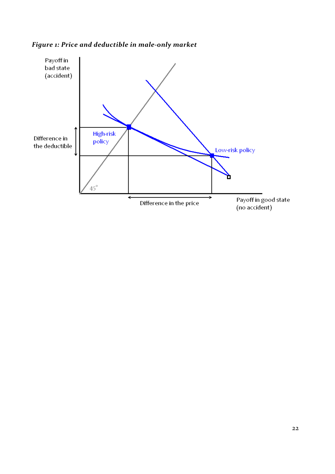

# *Figure 1: Price and deductible in male-only market*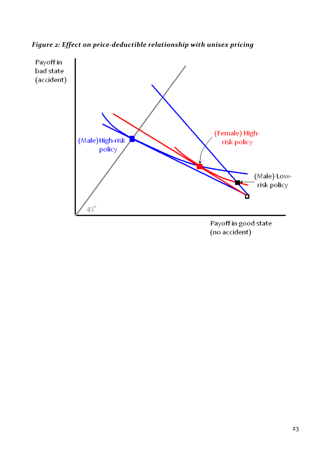

*Figure 2: Effect on price-deductible relationship with unisex pricing*

Payoff in good state (no accident)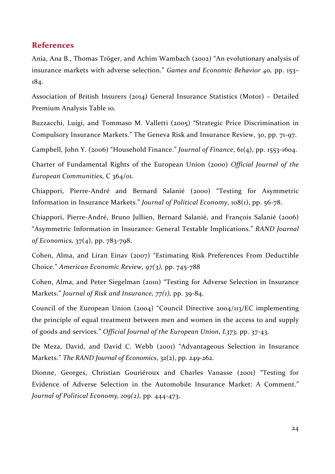### **References**

<span id="page-26-10"></span>Ania, Ana B., Thomas Tröger, and Achim Wambach (2002) "An evolutionary analysis of insurance markets with adverse selection." *Games and Economic Behavior 40,* pp. 153– 184.

<span id="page-26-0"></span>Association of British Insurers (2014) General Insurance Statistics (Motor) – Detailed Premium Analysis Table 10.

<span id="page-26-9"></span>Buzzacchi, Luigi, and Tommaso M. Valletti (2005) "Strategic Price Discrimination in Compulsory Insurance Markets." The Geneva Risk and Insurance Review, 30, pp. 71-97.

<span id="page-26-8"></span>Campbell, John Y. (2006) "Household Finance." *Journal of Finance*, 61(4), pp. 1553-1604.

Charter of Fundamental Rights of the European Union (2000) *Official Journal of the European Communities,* C 364/01.

<span id="page-26-4"></span>Chiappori, Pierre-André and Bernard Salanié (2000) "Testing for Asymmetric Information in Insurance Markets." *Journal of Political Economy*, 108(1), pp. 56-78.

<span id="page-26-2"></span>Chiappori, Pierre-André, Bruno Jullien, Bernard Salanié, and François Salanié (2006) "Asymmetric Information in Insurance: General Testable Implications." *RAND Journal of Economics,* 37(4), pp. 783-798.

<span id="page-26-7"></span>Cohen, Alma, and Liran Einav (2007) "Estimating Risk Preferences From Deductible Choice." *American Economic Review, 97(3),* pp. 745-788

<span id="page-26-3"></span>Cohen, Alma, and Peter Siegelman (2010) "Testing for Adverse Selection in Insurance Markets." *Journal of Risk and Insurance, 77(1),* pp. 39-84.

<span id="page-26-1"></span>Council of the European Union (2004) "Council Directive 2004/113/EC implementing the principle of equal treatment between men and women in the access to and supply of goods and services." *Official Journal of the European Union, L373,* pp. 37-43.

<span id="page-26-6"></span>De Meza, David, and David C. Webb (2001) "Advantageous Selection in Insurance Markets." *The RAND Journal of Economics*, 32(2), pp. 249-262.

<span id="page-26-5"></span>Dionne, Georges, Christian Gouriéroux and Charles Vanasse (2001) "Testing for Evidence of Adverse Selection in the Automobile Insurance Market: A Comment." *Journal of Political Economy, 109(2),* pp. 444-473.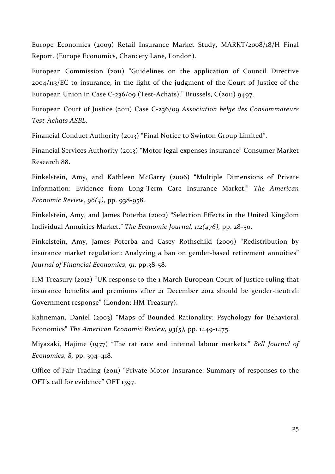<span id="page-27-3"></span>Europe Economics (2009) Retail Insurance Market Study, MARKT/2008/18/H Final Report. (Europe Economics, Chancery Lane, London).

<span id="page-27-1"></span>European Commission (2011) "Guidelines on the application of Council Directive 2004/113/EC to insurance, in the light of the judgment of the Court of Justice of the European Union in Case C-236/09 (Test-Achats)." Brussels, C(2011) 9497.

<span id="page-27-0"></span>European Court of Justice (2011) Case C-236/09 *Association belge des Consommateurs Test-Achats ASBL.*

<span id="page-27-10"></span>Financial Conduct Authority (2013) "Final Notice to Swinton Group Limited".

<span id="page-27-11"></span>Financial Services Authority (2013) "Motor legal expenses insurance" Consumer Market Research 88.

<span id="page-27-5"></span>Finkelstein, Amy, and Kathleen McGarry (2006) "Multiple Dimensions of Private Information: Evidence from Long-Term Care Insurance Market." *The American Economic Review, 96(4),* pp. 938-958.

<span id="page-27-4"></span>Finkelstein, Amy, and James Poterba (2002) "Selection Effects in the United Kingdom Individual Annuities Market." *The Economic Journal, 112(476),* pp. 28-50.

<span id="page-27-8"></span>Finkelstein, Amy, James Poterba and Casey Rothschild (2009) "Redistribution by insurance market regulation: Analyzing a ban on gender-based retirement annuities" *Journal of Financial Economics, 91,* pp.38-58.

<span id="page-27-2"></span>HM Treasury (2012) "UK response to the 1 March European Court of Justice ruling that insurance benefits and premiums after 21 December 2012 should be gender-neutral: Government response" (London: HM Treasury).

<span id="page-27-6"></span>Kahneman, Daniel (2003) "Maps of Bounded Rationality: Psychology for Behavioral Economics" *The American Economic Review, 93(5),* pp. 1449-1475.

<span id="page-27-9"></span>Miyazaki, Hajime (1977) "The rat race and internal labour markets." *Bell Journal of Economics, 8,* pp. 394–418.

<span id="page-27-7"></span>Office of Fair Trading (2011) "Private Motor Insurance: Summary of responses to the OFT's call for evidence" OFT 1397.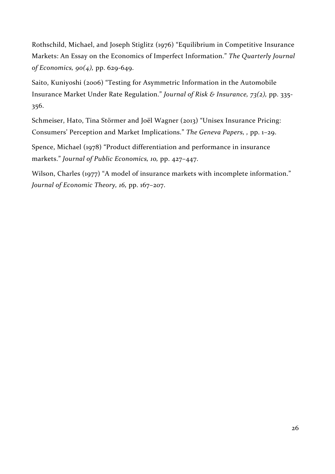<span id="page-28-0"></span>Rothschild, Michael, and Joseph Stiglitz (1976) "Equilibrium in Competitive Insurance Markets: An Essay on the Economics of Imperfect Information." *The Quarterly Journal of Economics, 90(4),* pp. 629-649.

<span id="page-28-1"></span>Saito, Kuniyoshi (2006) "Testing for Asymmetric Information in the Automobile Insurance Market Under Rate Regulation." *Journal of Risk & Insurance, 73(2),* pp. 335- 356.

<span id="page-28-2"></span>Schmeiser, Hato, Tina Störmer and Joël Wagner (2013) "Unisex Insurance Pricing: Consumers' Perception and Market Implications." *The Geneva Papers, ,* pp. 1–29.

<span id="page-28-4"></span>Spence, Michael (1978) "Product differentiation and performance in insurance markets." *Journal of Public Economics, 10,* pp. 427–447.

<span id="page-28-3"></span>Wilson, Charles (1977) "A model of insurance markets with incomplete information." *Journal of Economic Theory, 16,* pp. 167–207.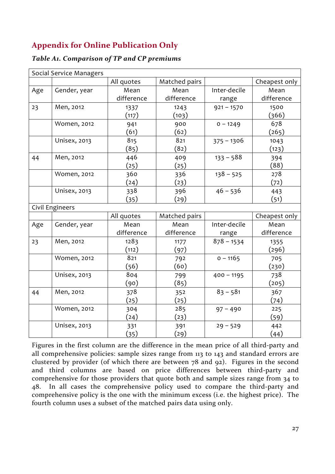# **Appendix for Online Publication Only**

#### *Table A1. Comparison of TP and CP premiums*

|     | <b>Social Service Managers</b> |            |               |              |               |
|-----|--------------------------------|------------|---------------|--------------|---------------|
|     |                                | All quotes | Matched pairs |              | Cheapest only |
| Age | Gender, year                   | Mean       | Mean          | Inter-decile | Mean          |
|     |                                | difference | difference    | range        | difference    |
| 23  | Men, 2012                      | 1337       | 1243          | $921 - 1570$ | 1500          |
|     |                                | (117)      | (103)         |              | (366)         |
|     | Women, 2012                    | 941        | 900           | $0 - 1249$   | 678           |
|     |                                | (61)       | (62)          |              | (265)         |
|     | Unisex, 2013                   | 815        | 821           | $375 - 1306$ | 1043          |
|     |                                | (85)       | (82)          |              | (123)         |
| 44  | Men, 2012                      | 446        | 409           | $133 - 588$  | 394           |
|     |                                | (25)       | (25)          |              | (88)          |
|     | Women, 2012                    | 360        | 336           | $138 - 525$  | 278           |
|     |                                | (24)       | (23)          |              | (72)          |
|     | Unisex, 2013                   | 338        | 396           | $46 - 536$   | 443           |
|     |                                | (35)       | (29)          |              | (51)          |
|     | Civil Engineers                |            |               |              |               |
|     |                                | All quotes | Matched pairs |              | Cheapest only |
| Age | Gender, year                   | Mean       | Mean          | Inter-decile | Mean          |
|     |                                | difference | difference    | range        | difference    |
| 23  | Men, 2012                      | 1283       | 1177          | $878 - 1534$ | 1355          |
|     |                                | (112)      | (97)          |              | (296)         |
|     | Women, 2012                    | 821        | 792           | $0 - 1165$   | 705           |
|     |                                | (56)       | (60)          |              | (230)         |
|     | Unisex, 2013                   | 804        | 799           | $400 - 1195$ | 738           |
|     |                                | (90)       | (85)          |              | (205)         |
| 44  | Men, 2012                      | 378        | 352           | $83 - 581$   | 367           |
|     |                                | (25)       | (25)          |              | (74)          |
|     | Women, 2012                    | 304        | 285           | $97 - 490$   | 225           |
|     |                                | (24)       | (23)          |              | (59)          |
|     | Unisex, 2013                   | 331        | 391           | $29 - 529$   | 442           |
|     |                                | (35)       | (29)          |              | (44)          |

Figures in the first column are the difference in the mean price of all third-party and all comprehensive policies: sample sizes range from 113 to 143 and standard errors are clustered by provider (of which there are between 78 and 92). Figures in the second and third columns are based on price differences between third-party and comprehensive for those providers that quote both and sample sizes range from 34 to 48. In all cases the comprehensive policy used to compare the third-party and comprehensive policy is the one with the minimum excess (i.e. the highest price). The fourth column uses a subset of the matched pairs data using only.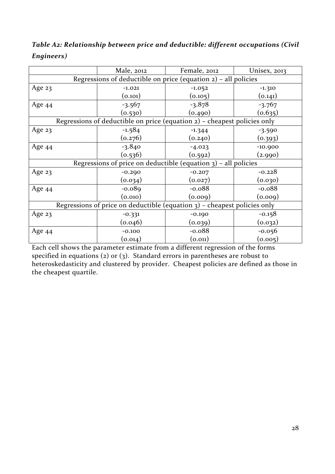*Table A2: Relationship between price and deductible: different occupations (Civil Engineers)*

|                                                                             | Male, 2012 | Female, 2012                                                             | Unisex, 2013 |  |  |  |
|-----------------------------------------------------------------------------|------------|--------------------------------------------------------------------------|--------------|--|--|--|
| Regressions of deductible on price (equation $2$ ) – all policies           |            |                                                                          |              |  |  |  |
| Age $23$                                                                    | $-1.021$   | $-1.052$                                                                 | $-1.310$     |  |  |  |
|                                                                             | (0.101)    | (0.105)                                                                  | (0.141)      |  |  |  |
| Age $44$                                                                    | $-3.567$   | $-3.878$                                                                 | $-3.767$     |  |  |  |
|                                                                             | (0.530)    | (0.490)                                                                  | (0.635)      |  |  |  |
|                                                                             |            | Regressions of deductible on price (equation 2) - cheapest policies only |              |  |  |  |
| Age $23$                                                                    | $-1.584$   | $-1.344$                                                                 | $-3.590$     |  |  |  |
|                                                                             | (0.276)    | (0.240)                                                                  | (0.393)      |  |  |  |
| Age 44                                                                      | $-3.840$   | $-4.023$                                                                 | $-10.900$    |  |  |  |
|                                                                             | (0.536)    | (0.592)                                                                  | (2.990)      |  |  |  |
| Regressions of price on deductible (equation $3$ ) – all policies           |            |                                                                          |              |  |  |  |
| Age 23                                                                      | $-0.290$   | $-0.207$                                                                 | $-0.228$     |  |  |  |
|                                                                             | (0.034)    | (0.027)                                                                  | (0.030)      |  |  |  |
| Age 44                                                                      | $-0.089$   | $-0.088$                                                                 | $-0.088$     |  |  |  |
|                                                                             | (0.010)    | (0.009)                                                                  | (0.009)      |  |  |  |
| Regressions of price on deductible (equation $3$ ) – cheapest policies only |            |                                                                          |              |  |  |  |
| Age $23$                                                                    | $-0.331$   | $-0.190$                                                                 | $-0.158$     |  |  |  |
|                                                                             | (0.046)    | (0.039)                                                                  | (0.032)      |  |  |  |
| Age 44                                                                      | $-0.100$   | $-0.088$                                                                 | $-0.056$     |  |  |  |
|                                                                             | (0.014)    | (0.011)                                                                  | (0.005)      |  |  |  |

Each cell shows the parameter estimate from a different regression of the forms specified in equations (2) or (3). Standard errors in parentheses are robust to heteroskedasticity and clustered by provider. Cheapest policies are defined as those in the cheapest quartile.